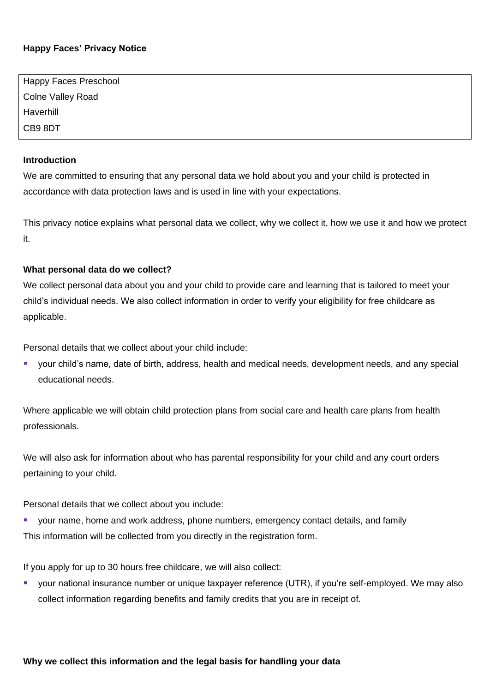# **Happy Faces' Privacy Notice**

| Happy Faces Preschool    |  |
|--------------------------|--|
| <b>Colne Valley Road</b> |  |
| Haverhill                |  |
| CB9 8DT                  |  |

#### **Introduction**

We are committed to ensuring that any personal data we hold about you and your child is protected in accordance with data protection laws and is used in line with your expectations.

This privacy notice explains what personal data we collect, why we collect it, how we use it and how we protect it.

### **What personal data do we collect?**

We collect personal data about you and your child to provide care and learning that is tailored to meet your child's individual needs. We also collect information in order to verify your eligibility for free childcare as applicable.

Personal details that we collect about your child include:

your child's name, date of birth, address, health and medical needs, development needs, and any special educational needs.

Where applicable we will obtain child protection plans from social care and health care plans from health professionals.

We will also ask for information about who has parental responsibility for your child and any court orders pertaining to your child.

Personal details that we collect about you include:

your name, home and work address, phone numbers, emergency contact details, and family This information will be collected from you directly in the registration form.

If you apply for up to 30 hours free childcare, we will also collect:

your national insurance number or unique taxpayer reference (UTR), if you're self-employed. We may also collect information regarding benefits and family credits that you are in receipt of.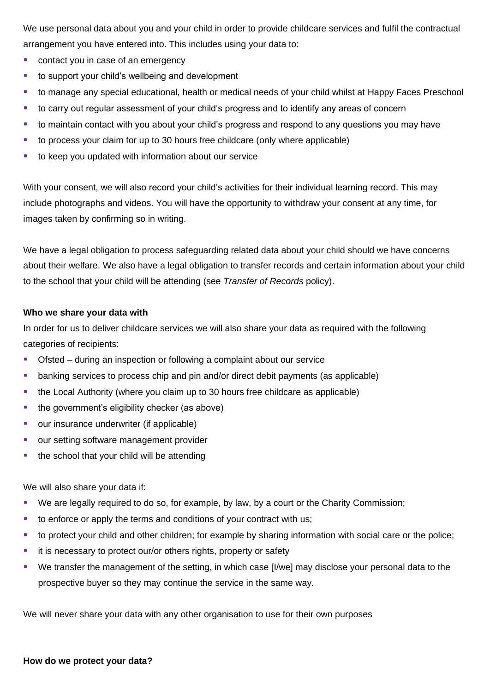We use personal data about you and your child in order to provide childcare services and fulfil the contractual arrangement you have entered into. This includes using your data to:

- contact you in case of an emergency
- to support your child's wellbeing and development
- to manage any special educational, health or medical needs of your child whilst at Happy Faces Preschool
- to carry out regular assessment of your child's progress and to identify any areas of concern
- to maintain contact with you about your child's progress and respond to any questions you may have
- to process your claim for up to 30 hours free childcare (only where applicable)
- to keep you updated with information about our service

With your consent, we will also record your child's activities for their individual learning record. This may include photographs and videos. You will have the opportunity to withdraw your consent at any time, for images taken by confirming so in writing.

We have a legal obligation to process safeguarding related data about your child should we have concerns about their welfare. We also have a legal obligation to transfer records and certain information about your child to the school that your child will be attending (see *Transfer of Records* policy).

#### **Who we share your data with**

In order for us to deliver childcare services we will also share your data as required with the following categories of recipients:

- Ofsted during an inspection or following a complaint about our service
- **E** banking services to process chip and pin and/or direct debit payments (as applicable)
- the Local Authority (where you claim up to 30 hours free childcare as applicable)
- the government's eligibility checker (as above)
- our insurance underwriter (if applicable)
- our setting software management provider
- the school that your child will be attending

We will also share your data if:

- We are legally required to do so, for example, by law, by a court or the Charity Commission;
- to enforce or apply the terms and conditions of your contract with us;
- to protect your child and other children; for example by sharing information with social care or the police;
- it is necessary to protect our/or others rights, property or safety
- We transfer the management of the setting, in which case [I/we] may disclose your personal data to the prospective buyer so they may continue the service in the same way.

We will never share your data with any other organisation to use for their own purposes